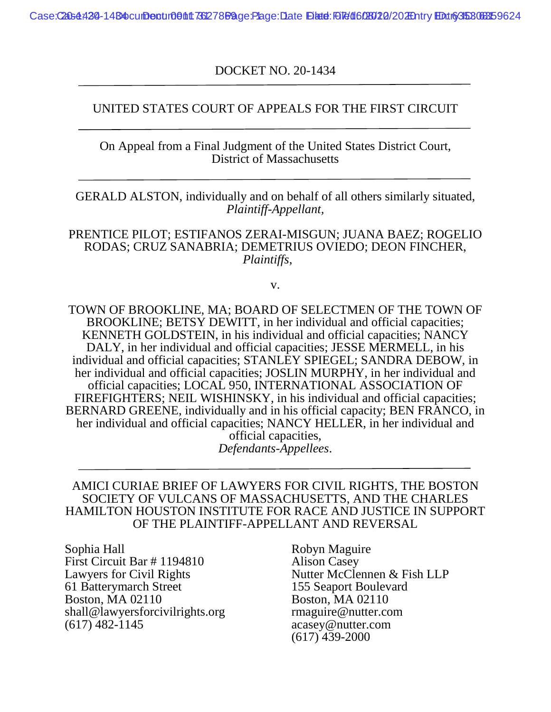DOCKET NO. 20-1434

### UNITED STATES COURT OF APPEALS FOR THE FIRST CIRCUIT

On Appeal from a Final Judgment of the United States District Court, District of Massachusetts

GERALD ALSTON, individually and on behalf of all others similarly situated, *Plaintiff-Appellant,* 

PRENTICE PILOT; ESTIFANOS ZERAI-MISGUN; JUANA BAEZ; ROGELIO RODAS; CRUZ SANABRIA; DEMETRIUS OVIEDO; DEON FINCHER, *Plaintiffs*,

v.

TOWN OF BROOKLINE, MA; BOARD OF SELECTMEN OF THE TOWN OF BROOKLINE; BETSY DEWITT, in her individual and official capacities; KENNETH GOLDSTEIN, in his individual and official capacities; NANCY DALY, in her individual and official capacities; JESSE MERMELL, in his individual and official capacities; STANLEY SPIEGEL; SANDRA DEBOW, in her individual and official capacities; JOSLIN MURPHY, in her individual and official capacities; LOCAL 950, INTERNATIONAL ASSOCIATION OF FIREFIGHTERS; NEIL WISHINSKY, in his individual and official capacities; BERNARD GREENE, individually and in his official capacity; BEN FRANCO, in her individual and official capacities; NANCY HELLER, in her individual and official capacities, *Defendants-Appellees*.

#### AMICI CURIAE BRIEF OF LAWYERS FOR CIVIL RIGHTS, THE BOSTON SOCIETY OF VULCANS OF MASSACHUSETTS, AND THE CHARLES HAMILTON HOUSTON INSTITUTE FOR RACE AND JUSTICE IN SUPPORT OF THE PLAINTIFF-APPELLANT AND REVERSAL

Sophia Hall Robyn Maguire First Circuit Bar # 1194810 Alison Casey<br>Lawyers for Civil Rights Mutter McCle 61 Batterymarch Street 155 Seaport Boulevard Boston, MA 02110 Boston, MA 02110 shall@lawyersforcivilrights.org maguire@nutter.com<br>(617) 482-1145 acasey@nutter.com

Nutter McClennen & Fish LLP acasey@nutter.com (617) 439-2000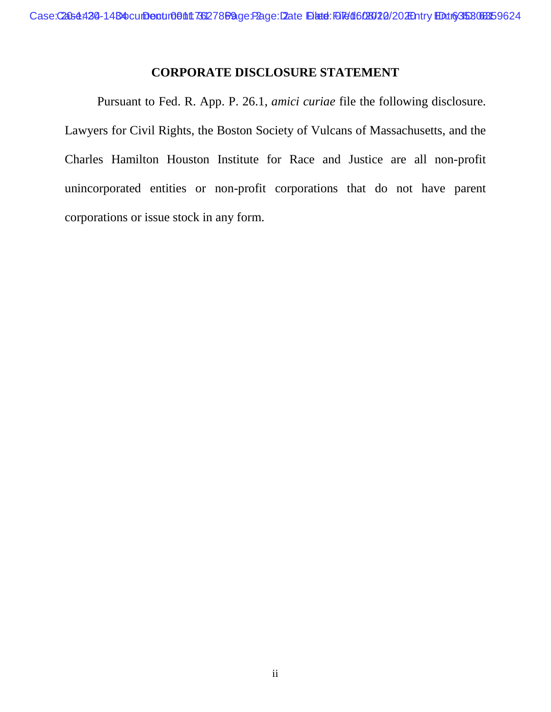## **CORPORATE DISCLOSURE STATEMENT**

Pursuant to Fed. R. App. P. 26.1, *amici curiae* file the following disclosure. Lawyers for Civil Rights, the Boston Society of Vulcans of Massachusetts, and the Charles Hamilton Houston Institute for Race and Justice are all non-profit unincorporated entities or non-profit corporations that do not have parent corporations or issue stock in any form.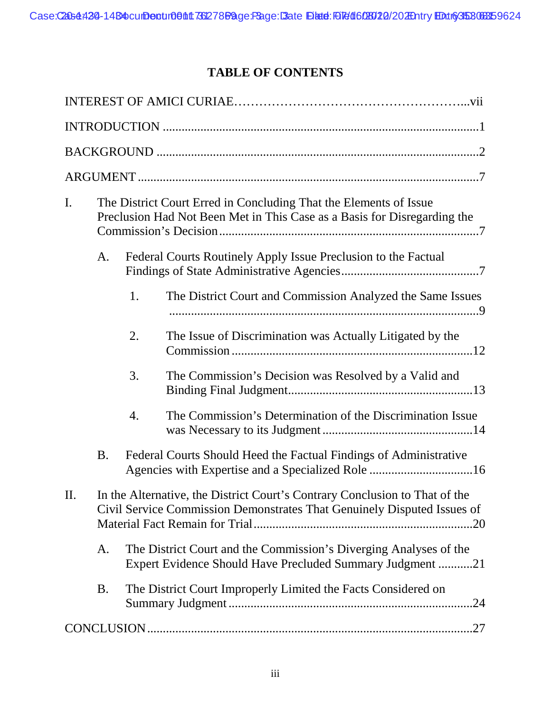# **TABLE OF CONTENTS**

| The District Court Erred in Concluding That the Elements of Issue<br>$\mathbf{I}$ .<br>Preclusion Had Not Been Met in This Case as a Basis for Disregarding the   |
|-------------------------------------------------------------------------------------------------------------------------------------------------------------------|
| Federal Courts Routinely Apply Issue Preclusion to the Factual<br>A.                                                                                              |
| 1.<br>The District Court and Commission Analyzed the Same Issues                                                                                                  |
| 2.<br>The Issue of Discrimination was Actually Litigated by the                                                                                                   |
| 3.<br>The Commission's Decision was Resolved by a Valid and                                                                                                       |
| The Commission's Determination of the Discrimination Issue<br>4.                                                                                                  |
| <b>B.</b><br>Federal Courts Should Heed the Factual Findings of Administrative<br>Agencies with Expertise and a Specialized Role 16                               |
| In the Alternative, the District Court's Contrary Conclusion to That of the<br>$\prod$<br>Civil Service Commission Demonstrates That Genuinely Disputed Issues of |
| The District Court and the Commission's Diverging Analyses of the<br>A.<br>Expert Evidence Should Have Precluded Summary Judgment 21                              |
| The District Court Improperly Limited the Facts Considered on<br><b>B.</b>                                                                                        |
|                                                                                                                                                                   |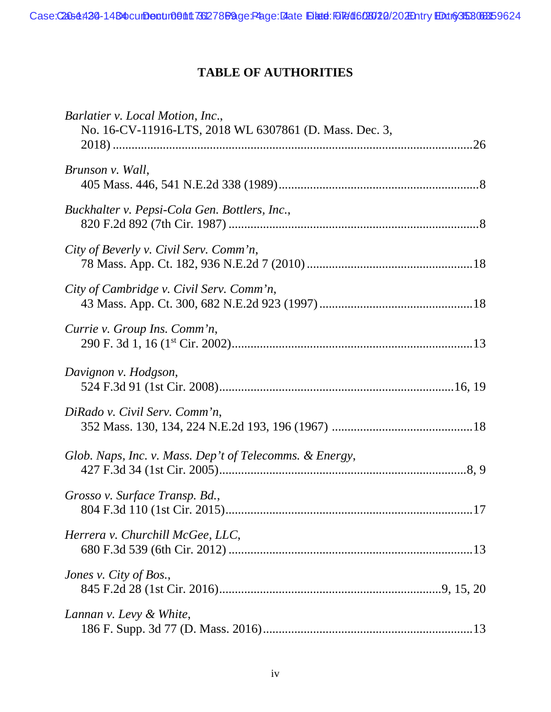# **TABLE OF AUTHORITIES**

| Barlatier v. Local Motion, Inc.,<br>No. 16-CV-11916-LTS, 2018 WL 6307861 (D. Mass. Dec. 3, |
|--------------------------------------------------------------------------------------------|
| Brunson v. Wall,                                                                           |
| Buckhalter v. Pepsi-Cola Gen. Bottlers, Inc.,                                              |
| City of Beverly v. Civil Serv. Comm'n,                                                     |
| City of Cambridge v. Civil Serv. Comm'n,                                                   |
| Currie v. Group Ins. Comm'n,                                                               |
| Davignon v. Hodgson,                                                                       |
| DiRado v. Civil Serv. Comm'n,                                                              |
| Glob. Naps, Inc. v. Mass. Dep't of Telecomms. & Energy,                                    |
| Grosso v. Surface Transp. Bd.,                                                             |
| Herrera v. Churchill McGee, LLC,                                                           |
| Jones v. City of Bos.,                                                                     |
| Lannan v. Levy & White,                                                                    |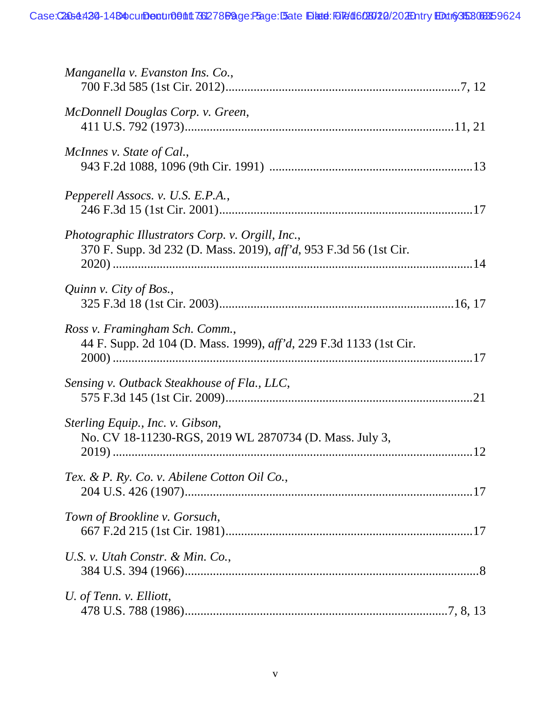| Manganella v. Evanston Ins. Co.,                                                                                      |
|-----------------------------------------------------------------------------------------------------------------------|
| McDonnell Douglas Corp. v. Green,                                                                                     |
| McInnes v. State of Cal.,                                                                                             |
| Pepperell Assocs. v. U.S. E.P.A.,                                                                                     |
| Photographic Illustrators Corp. v. Orgill, Inc.,<br>370 F. Supp. 3d 232 (D. Mass. 2019), aff'd, 953 F.3d 56 (1st Cir. |
| Quinn v. City of Bos.,                                                                                                |
| Ross v. Framingham Sch. Comm.,<br>44 F. Supp. 2d 104 (D. Mass. 1999), <i>aff'd</i> , 229 F.3d 1133 (1st Cir.          |
| Sensing v. Outback Steakhouse of Fla., LLC,                                                                           |
| Sterling Equip., Inc. v. Gibson,<br>No. CV 18-11230-RGS, 2019 WL 2870734 (D. Mass. July 3,                            |
| Tex. & P. Ry. Co. v. Abilene Cotton Oil Co.,                                                                          |
| Town of Brookline v. Gorsuch,                                                                                         |
| U.S. v. Utah Constr. & Min. Co.,                                                                                      |
| U. of Tenn. v. Elliott,                                                                                               |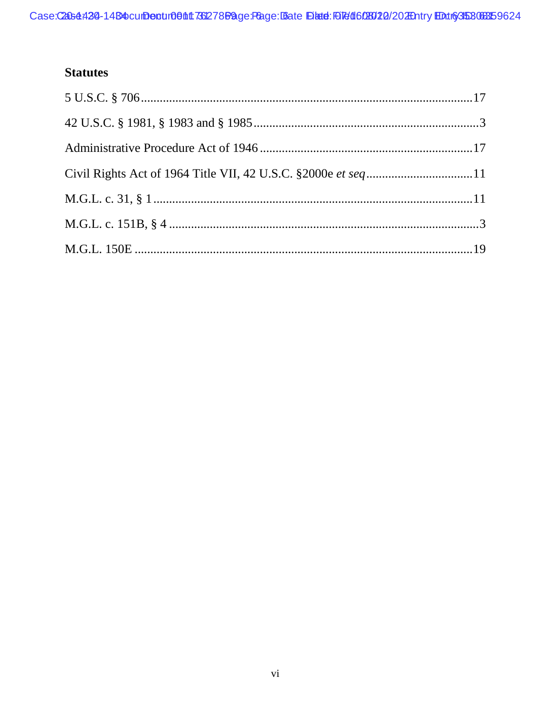# **Statutes**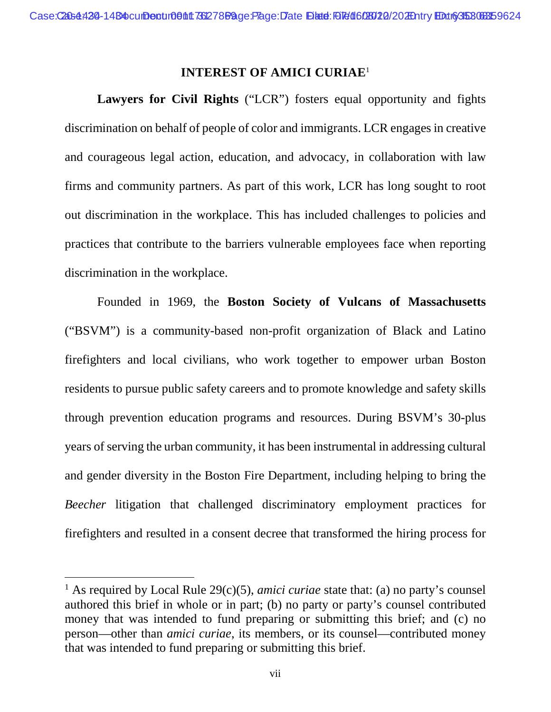#### **INTEREST OF AMICI CURIAE**<sup>1</sup>

**Lawyers for Civil Rights** ("LCR") fosters equal opportunity and fights discrimination on behalf of people of color and immigrants. LCR engages in creative and courageous legal action, education, and advocacy, in collaboration with law firms and community partners. As part of this work, LCR has long sought to root out discrimination in the workplace. This has included challenges to policies and practices that contribute to the barriers vulnerable employees face when reporting discrimination in the workplace.

Founded in 1969, the **Boston Society of Vulcans of Massachusetts** ("BSVM") is a community-based non-profit organization of Black and Latino firefighters and local civilians, who work together to empower urban Boston residents to pursue public safety careers and to promote knowledge and safety skills through prevention education programs and resources. During BSVM's 30-plus years of serving the urban community, it has been instrumental in addressing cultural and gender diversity in the Boston Fire Department, including helping to bring the *Beecher* litigation that challenged discriminatory employment practices for firefighters and resulted in a consent decree that transformed the hiring process for

<sup>&</sup>lt;sup>1</sup> As required by Local Rule  $29(c)(5)$ , *amici curiae* state that: (a) no party's counsel authored this brief in whole or in part; (b) no party or party's counsel contributed money that was intended to fund preparing or submitting this brief; and (c) no person—other than *amici curiae*, its members, or its counsel—contributed money that was intended to fund preparing or submitting this brief.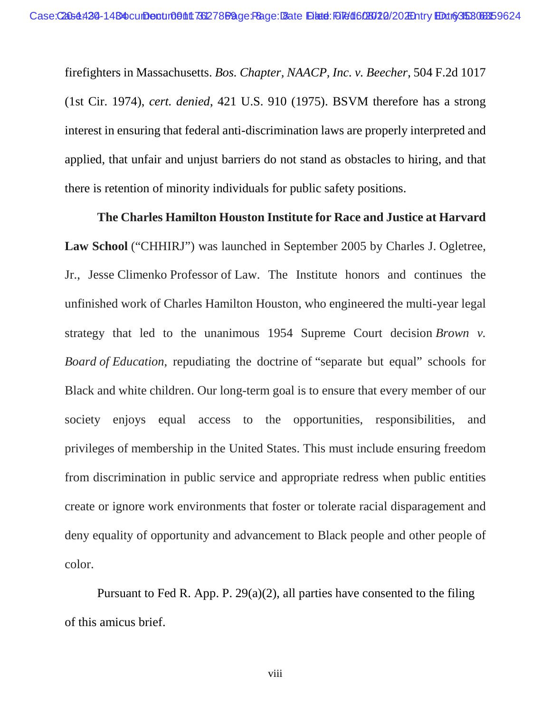firefighters in Massachusetts. *Bos. Chapter, NAACP, Inc. v. Beecher*, 504 F.2d 1017 (1st Cir. 1974), *cert. denied*, 421 U.S. 910 (1975). BSVM therefore has a strong interest in ensuring that federal anti-discrimination laws are properly interpreted and applied, that unfair and unjust barriers do not stand as obstacles to hiring, and that there is retention of minority individuals for public safety positions.

**The Charles Hamilton Houston Institute for Race and Justice at Harvard Law School** ("CHHIRJ") was launched in September 2005 by Charles J. Ogletree, Jr., Jesse Climenko Professor of Law. The Institute honors and continues the unfinished work of Charles Hamilton Houston, who engineered the multi-year legal strategy that led to the unanimous 1954 Supreme Court decision *Brown v. Board of Education*, repudiating the doctrine of "separate but equal" schools for Black and white children. Our long-term goal is to ensure that every member of our society enjoys equal access to the opportunities, responsibilities, and privileges of membership in the United States. This must include ensuring freedom from discrimination in public service and appropriate redress when public entities create or ignore work environments that foster or tolerate racial disparagement and deny equality of opportunity and advancement to Black people and other people of color.

Pursuant to Fed R. App. P. 29(a)(2), all parties have consented to the filing of this amicus brief.

viii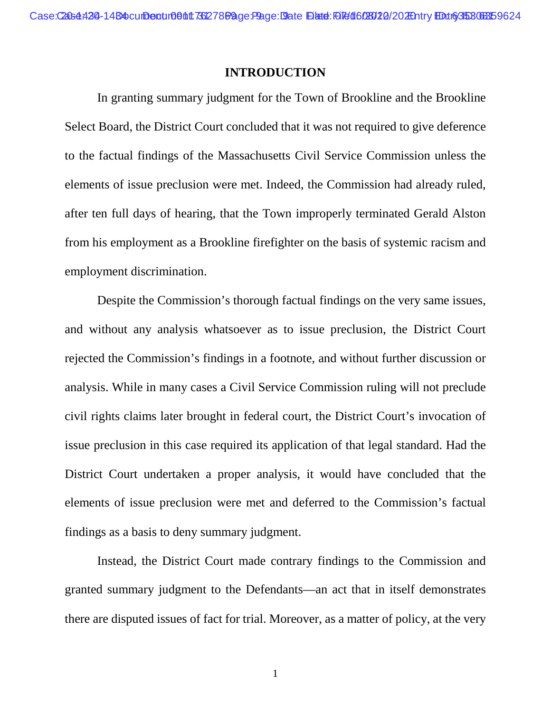#### **INTRODUCTION**

In granting summary judgment for the Town of Brookline and the Brookline Select Board, the District Court concluded that it was not required to give deference to the factual findings of the Massachusetts Civil Service Commission unless the elements of issue preclusion were met. Indeed, the Commission had already ruled, after ten full days of hearing, that the Town improperly terminated Gerald Alston from his employment as a Brookline firefighter on the basis of systemic racism and employment discrimination.

Despite the Commission's thorough factual findings on the very same issues, and without any analysis whatsoever as to issue preclusion, the District Court rejected the Commission's findings in a footnote, and without further discussion or analysis. While in many cases a Civil Service Commission ruling will not preclude civil rights claims later brought in federal court, the District Court's invocation of issue preclusion in this case required its application of that legal standard. Had the District Court undertaken a proper analysis, it would have concluded that the elements of issue preclusion were met and deferred to the Commission's factual findings as a basis to deny summary judgment.

Instead, the District Court made contrary findings to the Commission and granted summary judgment to the Defendants—an act that in itself demonstrates there are disputed issues of fact for trial. Moreover, as a matter of policy, at the very

1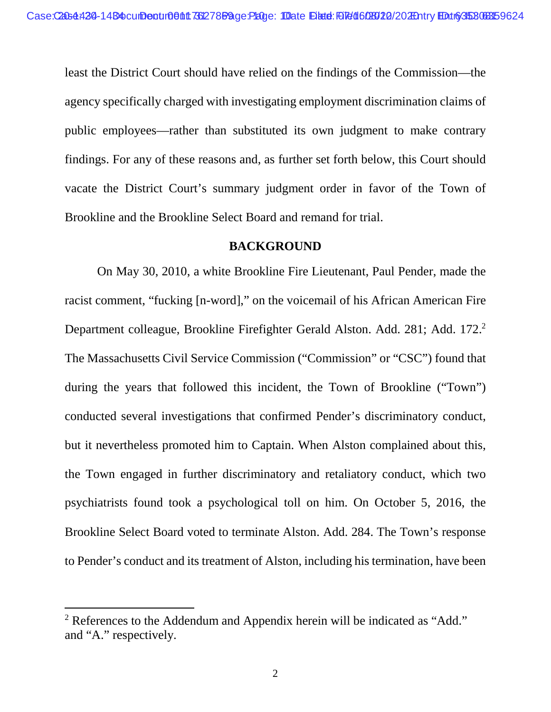least the District Court should have relied on the findings of the Commission—the agency specifically charged with investigating employment discrimination claims of public employees—rather than substituted its own judgment to make contrary findings. For any of these reasons and, as further set forth below, this Court should vacate the District Court's summary judgment order in favor of the Town of Brookline and the Brookline Select Board and remand for trial.

#### **BACKGROUND**

On May 30, 2010, a white Brookline Fire Lieutenant, Paul Pender, made the racist comment, "fucking [n-word]," on the voicemail of his African American Fire Department colleague, Brookline Firefighter Gerald Alston. Add. 281; Add. 172.<sup>2</sup> The Massachusetts Civil Service Commission ("Commission" or "CSC") found that during the years that followed this incident, the Town of Brookline ("Town") conducted several investigations that confirmed Pender's discriminatory conduct, but it nevertheless promoted him to Captain. When Alston complained about this, the Town engaged in further discriminatory and retaliatory conduct, which two psychiatrists found took a psychological toll on him. On October 5, 2016, the Brookline Select Board voted to terminate Alston. Add. 284. The Town's response to Pender's conduct and its treatment of Alston, including his termination, have been

<sup>&</sup>lt;sup>2</sup> References to the Addendum and Appendix herein will be indicated as "Add." and "A." respectively.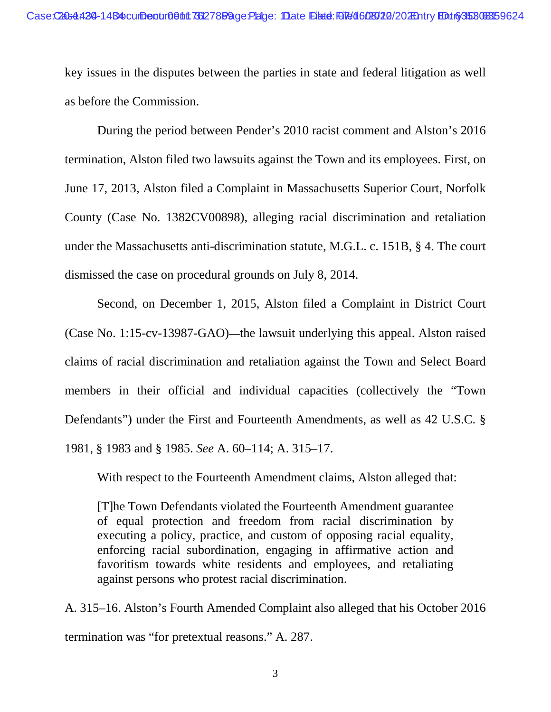key issues in the disputes between the parties in state and federal litigation as well as before the Commission.

During the period between Pender's 2010 racist comment and Alston's 2016 termination, Alston filed two lawsuits against the Town and its employees. First, on June 17, 2013, Alston filed a Complaint in Massachusetts Superior Court, Norfolk County (Case No. 1382CV00898), alleging racial discrimination and retaliation under the Massachusetts anti-discrimination statute, M.G.L. c. 151B, § 4. The court dismissed the case on procedural grounds on July 8, 2014.

Second, on December 1, 2015, Alston filed a Complaint in District Court (Case No. 1:15-cv-13987-GAO)—the lawsuit underlying this appeal. Alston raised claims of racial discrimination and retaliation against the Town and Select Board members in their official and individual capacities (collectively the "Town Defendants") under the First and Fourteenth Amendments, as well as 42 U.S.C. § 1981, § 1983 and § 1985. *See* A. 60–114; A. 315–17.

With respect to the Fourteenth Amendment claims, Alston alleged that:

[T]he Town Defendants violated the Fourteenth Amendment guarantee of equal protection and freedom from racial discrimination by executing a policy, practice, and custom of opposing racial equality, enforcing racial subordination, engaging in affirmative action and favoritism towards white residents and employees, and retaliating against persons who protest racial discrimination.

A. 315–16. Alston's Fourth Amended Complaint also alleged that his October 2016 termination was "for pretextual reasons." A. 287.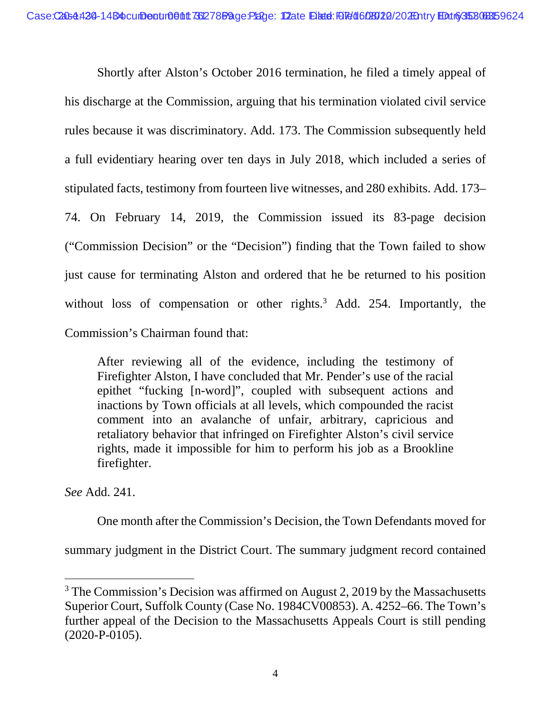Shortly after Alston's October 2016 termination, he filed a timely appeal of his discharge at the Commission, arguing that his termination violated civil service rules because it was discriminatory. Add. 173. The Commission subsequently held a full evidentiary hearing over ten days in July 2018, which included a series of stipulated facts, testimony from fourteen live witnesses, and 280 exhibits. Add. 173– 74. On February 14, 2019, the Commission issued its 83-page decision ("Commission Decision" or the "Decision") finding that the Town failed to show just cause for terminating Alston and ordered that he be returned to his position without loss of compensation or other rights.<sup>3</sup> Add. 254. Importantly, the Commission's Chairman found that:

After reviewing all of the evidence, including the testimony of Firefighter Alston, I have concluded that Mr. Pender's use of the racial epithet "fucking [n-word]", coupled with subsequent actions and inactions by Town officials at all levels, which compounded the racist comment into an avalanche of unfair, arbitrary, capricious and retaliatory behavior that infringed on Firefighter Alston's civil service rights, made it impossible for him to perform his job as a Brookline firefighter.

*See* Add. 241.

One month after the Commission's Decision, the Town Defendants moved for

summary judgment in the District Court. The summary judgment record contained

 $3$  The Commission's Decision was affirmed on August 2, 2019 by the Massachusetts Superior Court, Suffolk County (Case No. 1984CV00853). A. 4252–66. The Town's further appeal of the Decision to the Massachusetts Appeals Court is still pending (2020-P-0105).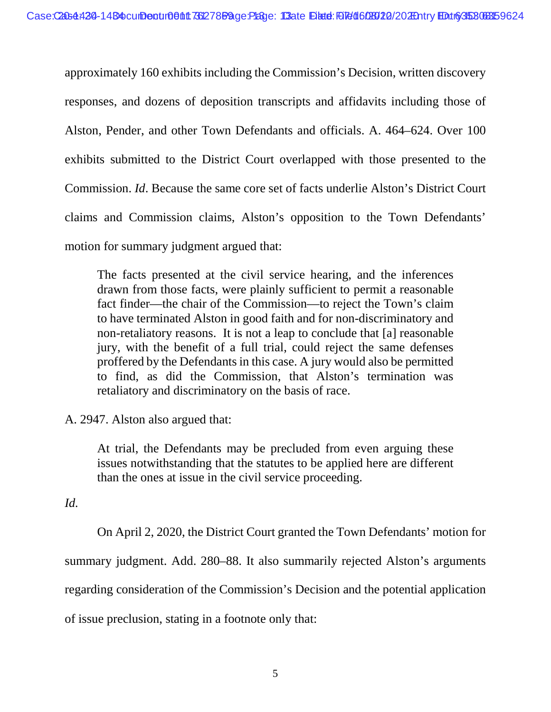approximately 160 exhibits including the Commission's Decision, written discovery responses, and dozens of deposition transcripts and affidavits including those of Alston, Pender, and other Town Defendants and officials. A. 464–624. Over 100 exhibits submitted to the District Court overlapped with those presented to the Commission. *Id*. Because the same core set of facts underlie Alston's District Court claims and Commission claims, Alston's opposition to the Town Defendants' motion for summary judgment argued that:

The facts presented at the civil service hearing, and the inferences drawn from those facts, were plainly sufficient to permit a reasonable fact finder—the chair of the Commission—to reject the Town's claim to have terminated Alston in good faith and for non-discriminatory and non-retaliatory reasons. It is not a leap to conclude that [a] reasonable jury, with the benefit of a full trial, could reject the same defenses proffered by the Defendants in this case. A jury would also be permitted to find, as did the Commission, that Alston's termination was retaliatory and discriminatory on the basis of race.

A. 2947. Alston also argued that:

At trial, the Defendants may be precluded from even arguing these issues notwithstanding that the statutes to be applied here are different than the ones at issue in the civil service proceeding.

*Id.* 

On April 2, 2020, the District Court granted the Town Defendants' motion for summary judgment. Add. 280–88. It also summarily rejected Alston's arguments regarding consideration of the Commission's Decision and the potential application of issue preclusion, stating in a footnote only that: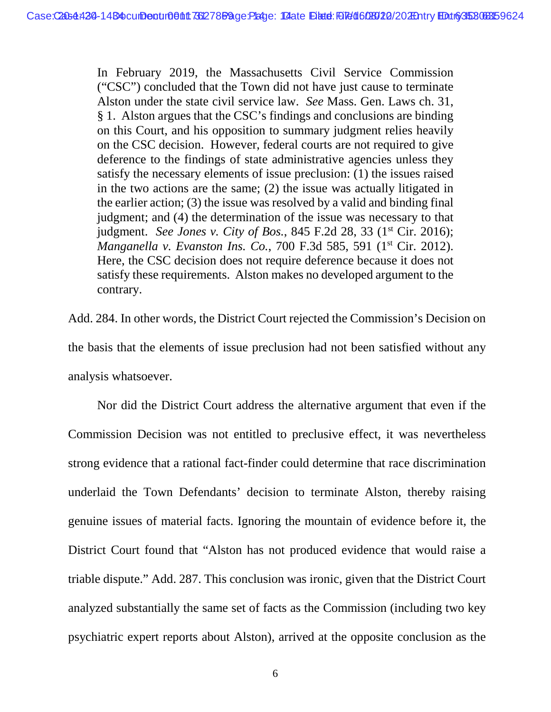In February 2019, the Massachusetts Civil Service Commission ("CSC") concluded that the Town did not have just cause to terminate Alston under the state civil service law. *See* Mass. Gen. Laws ch. 31, § 1. Alston argues that the CSC's findings and conclusions are binding on this Court, and his opposition to summary judgment relies heavily on the CSC decision. However, federal courts are not required to give deference to the findings of state administrative agencies unless they satisfy the necessary elements of issue preclusion: (1) the issues raised in the two actions are the same; (2) the issue was actually litigated in the earlier action; (3) the issue was resolved by a valid and binding final judgment; and (4) the determination of the issue was necessary to that judgment. *See Jones v. City of Bos.*, 845 F.2d 28, 33 (1st Cir. 2016); *Manganella v. Evanston Ins. Co.*, 700 F.3d 585, 591 (1<sup>st</sup> Cir. 2012). Here, the CSC decision does not require deference because it does not satisfy these requirements. Alston makes no developed argument to the contrary.

Add. 284. In other words, the District Court rejected the Commission's Decision on the basis that the elements of issue preclusion had not been satisfied without any analysis whatsoever.

Nor did the District Court address the alternative argument that even if the Commission Decision was not entitled to preclusive effect, it was nevertheless strong evidence that a rational fact-finder could determine that race discrimination underlaid the Town Defendants' decision to terminate Alston, thereby raising genuine issues of material facts. Ignoring the mountain of evidence before it, the District Court found that "Alston has not produced evidence that would raise a triable dispute." Add. 287. This conclusion was ironic, given that the District Court analyzed substantially the same set of facts as the Commission (including two key psychiatric expert reports about Alston), arrived at the opposite conclusion as the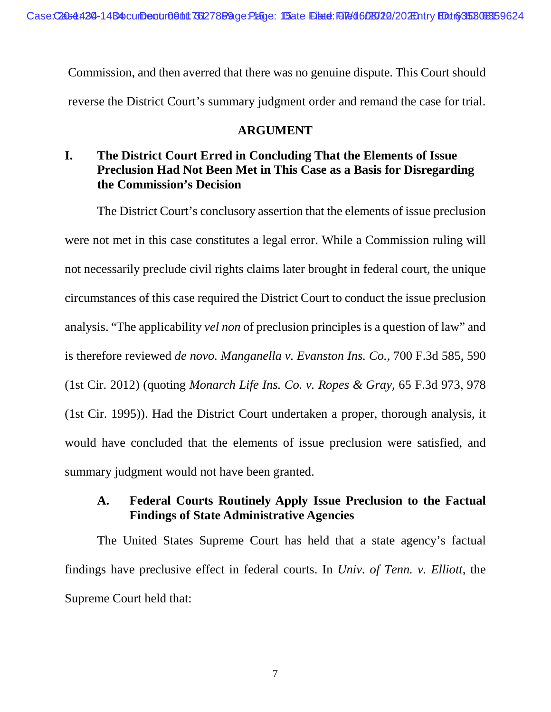Commission, and then averred that there was no genuine dispute. This Court should reverse the District Court's summary judgment order and remand the case for trial.

### **ARGUMENT**

## **I. The District Court Erred in Concluding That the Elements of Issue Preclusion Had Not Been Met in This Case as a Basis for Disregarding the Commission's Decision**

The District Court's conclusory assertion that the elements of issue preclusion were not met in this case constitutes a legal error. While a Commission ruling will not necessarily preclude civil rights claims later brought in federal court, the unique circumstances of this case required the District Court to conduct the issue preclusion analysis. "The applicability *vel non* of preclusion principles is a question of law" and is therefore reviewed *de novo. Manganella v. Evanston Ins. Co.*, 700 F.3d 585, 590 (1st Cir. 2012) (quoting *Monarch Life Ins. Co. v. Ropes & Gray*, 65 F.3d 973, 978 (1st Cir. 1995)). Had the District Court undertaken a proper, thorough analysis, it would have concluded that the elements of issue preclusion were satisfied, and summary judgment would not have been granted.

## **A. Federal Courts Routinely Apply Issue Preclusion to the Factual Findings of State Administrative Agencies**

The United States Supreme Court has held that a state agency's factual findings have preclusive effect in federal courts. In *Univ. of Tenn. v. Elliott*, the Supreme Court held that: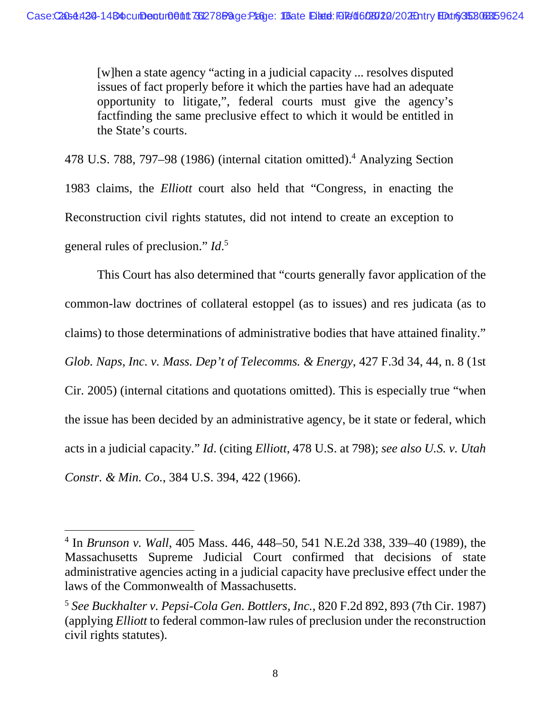[w]hen a state agency "acting in a judicial capacity ... resolves disputed issues of fact properly before it which the parties have had an adequate opportunity to litigate,", federal courts must give the agency's factfinding the same preclusive effect to which it would be entitled in the State's courts.

478 U.S. 788, 797–98 (1986) (internal citation omitted).<sup>4</sup> Analyzing Section 1983 claims, the *Elliott* court also held that "Congress, in enacting the Reconstruction civil rights statutes, did not intend to create an exception to general rules of preclusion." *Id*. 5

This Court has also determined that "courts generally favor application of the common-law doctrines of collateral estoppel (as to issues) and res judicata (as to claims) to those determinations of administrative bodies that have attained finality." *Glob. Naps, Inc. v. Mass. Dep't of Telecomms. & Energy*, 427 F.3d 34, 44, n. 8 (1st Cir. 2005) (internal citations and quotations omitted). This is especially true "when the issue has been decided by an administrative agency, be it state or federal, which acts in a judicial capacity." *Id*. (citing *Elliott*, 478 U.S. at 798); *see also U.S. v. Utah Constr. & Min. Co.*, 384 U.S. 394, 422 (1966).

<sup>4</sup> In *Brunson v. Wall*, 405 Mass. 446, 448–50, 541 N.E.2d 338, 339–40 (1989), the Massachusetts Supreme Judicial Court confirmed that decisions of state administrative agencies acting in a judicial capacity have preclusive effect under the laws of the Commonwealth of Massachusetts.

<sup>5</sup>  *See Buckhalter v. Pepsi-Cola Gen. Bottlers, Inc.*, 820 F.2d 892, 893 (7th Cir. 1987) (applying *Elliott* to federal common-law rules of preclusion under the reconstruction civil rights statutes).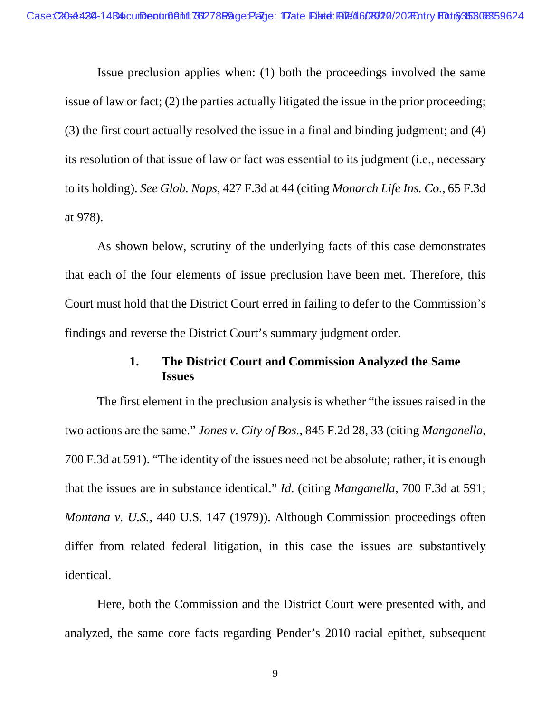Issue preclusion applies when: (1) both the proceedings involved the same issue of law or fact; (2) the parties actually litigated the issue in the prior proceeding; (3) the first court actually resolved the issue in a final and binding judgment; and (4) its resolution of that issue of law or fact was essential to its judgment (i.e., necessary to its holding). *See Glob. Naps*, 427 F.3d at 44 (citing *Monarch Life Ins. Co.*, 65 F.3d at 978).

As shown below, scrutiny of the underlying facts of this case demonstrates that each of the four elements of issue preclusion have been met. Therefore, this Court must hold that the District Court erred in failing to defer to the Commission's findings and reverse the District Court's summary judgment order.

### **1. The District Court and Commission Analyzed the Same Issues**

The first element in the preclusion analysis is whether "the issues raised in the two actions are the same." *Jones v. City of Bos.*, 845 F.2d 28, 33 (citing *Manganella*, 700 F.3d at 591). "The identity of the issues need not be absolute; rather, it is enough that the issues are in substance identical." *Id*. (citing *Manganella*, 700 F.3d at 591; *Montana v. U.S.*, 440 U.S. 147 (1979)). Although Commission proceedings often differ from related federal litigation, in this case the issues are substantively identical.

Here, both the Commission and the District Court were presented with, and analyzed, the same core facts regarding Pender's 2010 racial epithet, subsequent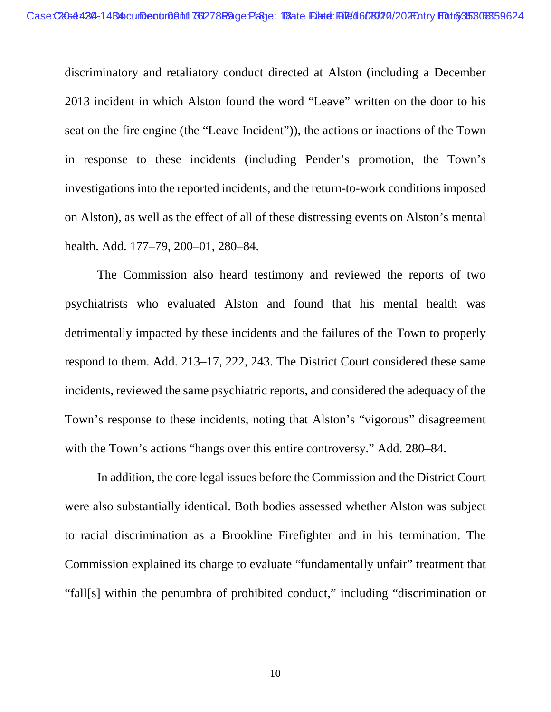discriminatory and retaliatory conduct directed at Alston (including a December 2013 incident in which Alston found the word "Leave" written on the door to his seat on the fire engine (the "Leave Incident")), the actions or inactions of the Town in response to these incidents (including Pender's promotion, the Town's investigations into the reported incidents, and the return-to-work conditions imposed on Alston), as well as the effect of all of these distressing events on Alston's mental health. Add. 177–79, 200–01, 280–84.

The Commission also heard testimony and reviewed the reports of two psychiatrists who evaluated Alston and found that his mental health was detrimentally impacted by these incidents and the failures of the Town to properly respond to them. Add. 213–17, 222, 243. The District Court considered these same incidents, reviewed the same psychiatric reports, and considered the adequacy of the Town's response to these incidents, noting that Alston's "vigorous" disagreement with the Town's actions "hangs over this entire controversy." Add. 280–84.

In addition, the core legal issues before the Commission and the District Court were also substantially identical. Both bodies assessed whether Alston was subject to racial discrimination as a Brookline Firefighter and in his termination. The Commission explained its charge to evaluate "fundamentally unfair" treatment that "fall[s] within the penumbra of prohibited conduct," including "discrimination or

10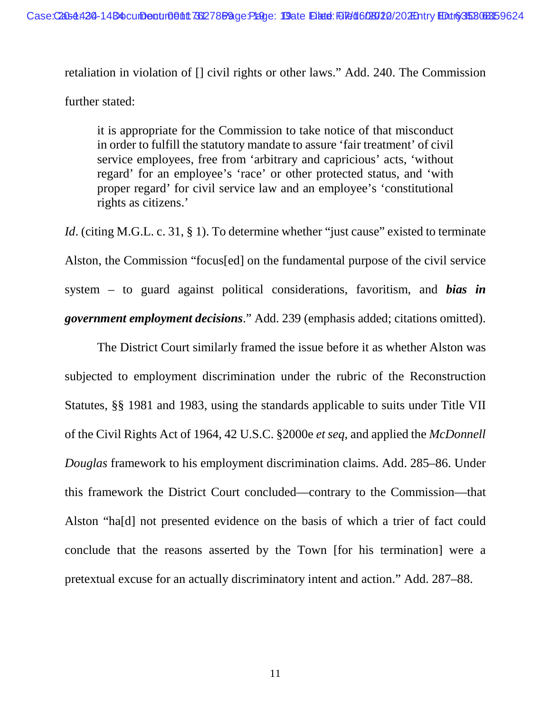retaliation in violation of [] civil rights or other laws." Add. 240. The Commission further stated:

it is appropriate for the Commission to take notice of that misconduct in order to fulfill the statutory mandate to assure 'fair treatment' of civil service employees, free from 'arbitrary and capricious' acts, 'without regard' for an employee's 'race' or other protected status, and 'with proper regard' for civil service law and an employee's 'constitutional rights as citizens.'

*Id.* (citing M.G.L. c. 31, § 1). To determine whether "just cause" existed to terminate Alston, the Commission "focus[ed] on the fundamental purpose of the civil service system – to guard against political considerations, favoritism, and *bias in government employment decisions*." Add. 239 (emphasis added; citations omitted).

The District Court similarly framed the issue before it as whether Alston was subjected to employment discrimination under the rubric of the Reconstruction Statutes, §§ 1981 and 1983, using the standards applicable to suits under Title VII of the Civil Rights Act of 1964, 42 U.S.C. §2000e *et seq*, and applied the *McDonnell Douglas* framework to his employment discrimination claims. Add. 285–86. Under this framework the District Court concluded—contrary to the Commission—that Alston "ha[d] not presented evidence on the basis of which a trier of fact could conclude that the reasons asserted by the Town [for his termination] were a pretextual excuse for an actually discriminatory intent and action." Add. 287–88.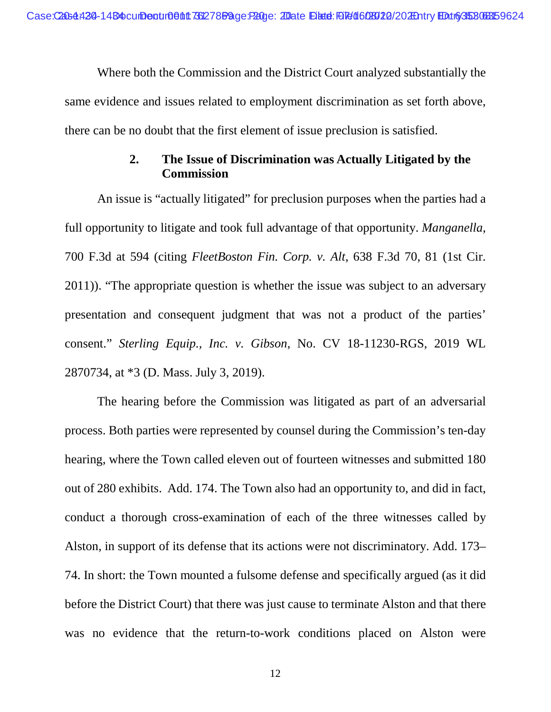Where both the Commission and the District Court analyzed substantially the same evidence and issues related to employment discrimination as set forth above, there can be no doubt that the first element of issue preclusion is satisfied.

## **2. The Issue of Discrimination was Actually Litigated by the Commission**

An issue is "actually litigated" for preclusion purposes when the parties had a full opportunity to litigate and took full advantage of that opportunity. *Manganella*, 700 F.3d at 594 (citing *FleetBoston Fin. Corp. v. Alt*, 638 F.3d 70, 81 (1st Cir. 2011)). "The appropriate question is whether the issue was subject to an adversary presentation and consequent judgment that was not a product of the parties' consent." *Sterling Equip., Inc. v. Gibson*, No. CV 18-11230-RGS, 2019 WL 2870734, at \*3 (D. Mass. July 3, 2019).

The hearing before the Commission was litigated as part of an adversarial process. Both parties were represented by counsel during the Commission's ten-day hearing, where the Town called eleven out of fourteen witnesses and submitted 180 out of 280 exhibits. Add. 174. The Town also had an opportunity to, and did in fact, conduct a thorough cross-examination of each of the three witnesses called by Alston, in support of its defense that its actions were not discriminatory. Add. 173– 74. In short: the Town mounted a fulsome defense and specifically argued (as it did before the District Court) that there was just cause to terminate Alston and that there was no evidence that the return-to-work conditions placed on Alston were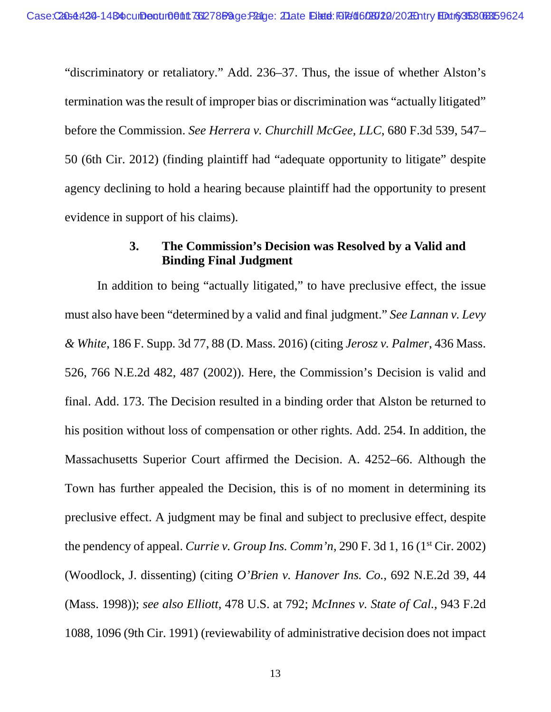"discriminatory or retaliatory." Add. 236–37. Thus, the issue of whether Alston's termination was the result of improper bias or discrimination was "actually litigated" before the Commission. *See Herrera v. Churchill McGee, LLC*, 680 F.3d 539, 547– 50 (6th Cir. 2012) (finding plaintiff had "adequate opportunity to litigate" despite agency declining to hold a hearing because plaintiff had the opportunity to present evidence in support of his claims).

### **3. The Commission's Decision was Resolved by a Valid and Binding Final Judgment**

In addition to being "actually litigated," to have preclusive effect, the issue must also have been "determined by a valid and final judgment." *See Lannan v. Levy & White*, 186 F. Supp. 3d 77, 88 (D. Mass. 2016) (citing *Jerosz v. Palmer*, 436 Mass. 526, 766 N.E.2d 482, 487 (2002)). Here, the Commission's Decision is valid and final. Add. 173. The Decision resulted in a binding order that Alston be returned to his position without loss of compensation or other rights. Add. 254. In addition, the Massachusetts Superior Court affirmed the Decision. A. 4252–66. Although the Town has further appealed the Decision, this is of no moment in determining its preclusive effect. A judgment may be final and subject to preclusive effect, despite the pendency of appeal. *Currie v. Group Ins. Comm'n*, 290 F. 3d 1, 16 (1<sup>st</sup> Cir. 2002) (Woodlock, J. dissenting) (citing *O'Brien v. Hanover Ins. Co.*, 692 N.E.2d 39, 44 (Mass. 1998)); *see also Elliott*, 478 U.S. at 792; *McInnes v. State of Cal.*, 943 F.2d 1088, 1096 (9th Cir. 1991) (reviewability of administrative decision does not impact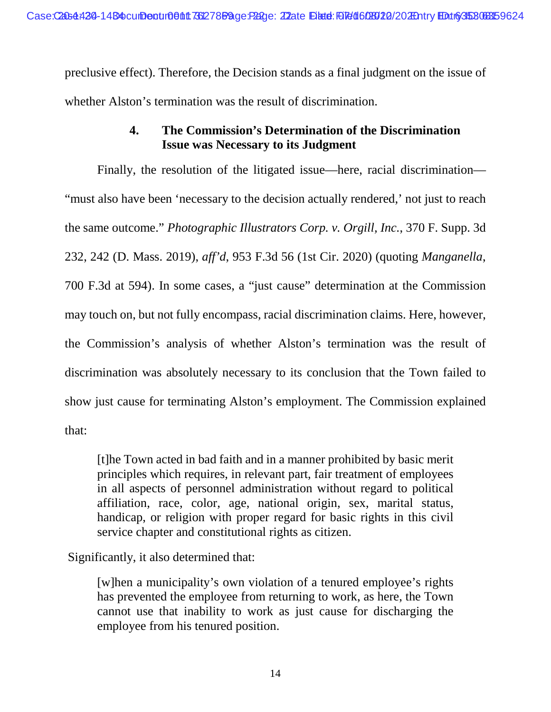preclusive effect). Therefore, the Decision stands as a final judgment on the issue of whether Alston's termination was the result of discrimination.

## **4. The Commission's Determination of the Discrimination Issue was Necessary to its Judgment**

Finally, the resolution of the litigated issue—here, racial discrimination— "must also have been 'necessary to the decision actually rendered,' not just to reach the same outcome." *Photographic Illustrators Corp. v. Orgill, Inc.*, 370 F. Supp. 3d 232, 242 (D. Mass. 2019), *aff'd*, 953 F.3d 56 (1st Cir. 2020) (quoting *Manganella*, 700 F.3d at 594). In some cases, a "just cause" determination at the Commission may touch on, but not fully encompass, racial discrimination claims. Here, however, the Commission's analysis of whether Alston's termination was the result of discrimination was absolutely necessary to its conclusion that the Town failed to show just cause for terminating Alston's employment. The Commission explained that:

[t]he Town acted in bad faith and in a manner prohibited by basic merit principles which requires, in relevant part, fair treatment of employees in all aspects of personnel administration without regard to political affiliation, race, color, age, national origin, sex, marital status, handicap, or religion with proper regard for basic rights in this civil service chapter and constitutional rights as citizen.

Significantly, it also determined that:

[w]hen a municipality's own violation of a tenured employee's rights has prevented the employee from returning to work, as here, the Town cannot use that inability to work as just cause for discharging the employee from his tenured position.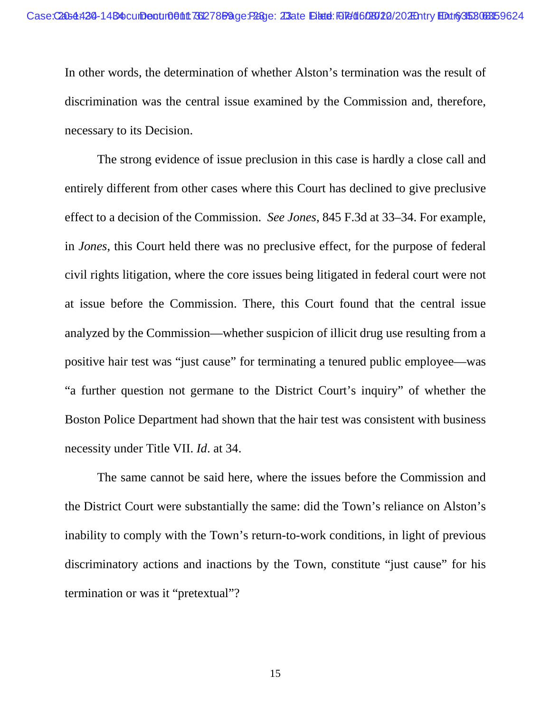In other words, the determination of whether Alston's termination was the result of discrimination was the central issue examined by the Commission and, therefore, necessary to its Decision.

The strong evidence of issue preclusion in this case is hardly a close call and entirely different from other cases where this Court has declined to give preclusive effect to a decision of the Commission. *See Jones*, 845 F.3d at 33–34. For example, in *Jones*, this Court held there was no preclusive effect, for the purpose of federal civil rights litigation, where the core issues being litigated in federal court were not at issue before the Commission. There, this Court found that the central issue analyzed by the Commission—whether suspicion of illicit drug use resulting from a positive hair test was "just cause" for terminating a tenured public employee—was "a further question not germane to the District Court's inquiry" of whether the Boston Police Department had shown that the hair test was consistent with business necessity under Title VII. *Id*. at 34.

The same cannot be said here, where the issues before the Commission and the District Court were substantially the same: did the Town's reliance on Alston's inability to comply with the Town's return-to-work conditions, in light of previous discriminatory actions and inactions by the Town, constitute "just cause" for his termination or was it "pretextual"?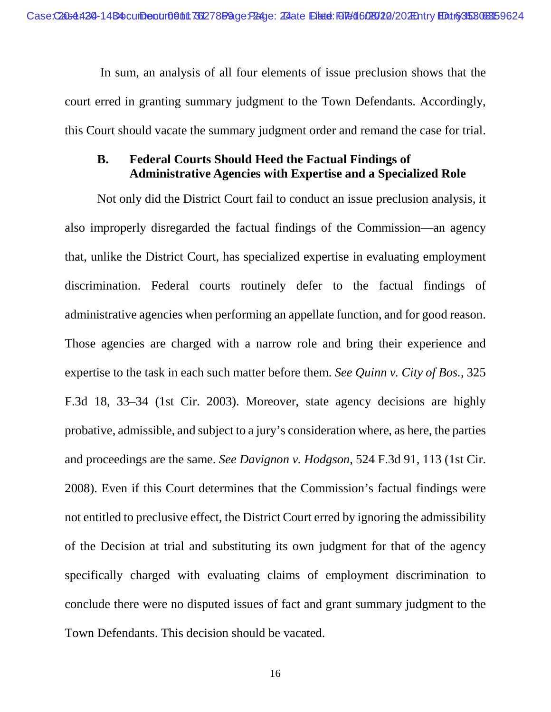In sum, an analysis of all four elements of issue preclusion shows that the court erred in granting summary judgment to the Town Defendants. Accordingly, this Court should vacate the summary judgment order and remand the case for trial.

## **B. Federal Courts Should Heed the Factual Findings of Administrative Agencies with Expertise and a Specialized Role**

Not only did the District Court fail to conduct an issue preclusion analysis, it also improperly disregarded the factual findings of the Commission—an agency that, unlike the District Court, has specialized expertise in evaluating employment discrimination. Federal courts routinely defer to the factual findings of administrative agencies when performing an appellate function, and for good reason. Those agencies are charged with a narrow role and bring their experience and expertise to the task in each such matter before them. *See Quinn v. City of Bos.*, 325 F.3d 18, 33–34 (1st Cir. 2003). Moreover, state agency decisions are highly probative, admissible, and subject to a jury's consideration where, as here, the parties and proceedings are the same. *See Davignon v. Hodgson*, 524 F.3d 91, 113 (1st Cir. 2008). Even if this Court determines that the Commission's factual findings were not entitled to preclusive effect, the District Court erred by ignoring the admissibility of the Decision at trial and substituting its own judgment for that of the agency specifically charged with evaluating claims of employment discrimination to conclude there were no disputed issues of fact and grant summary judgment to the Town Defendants. This decision should be vacated.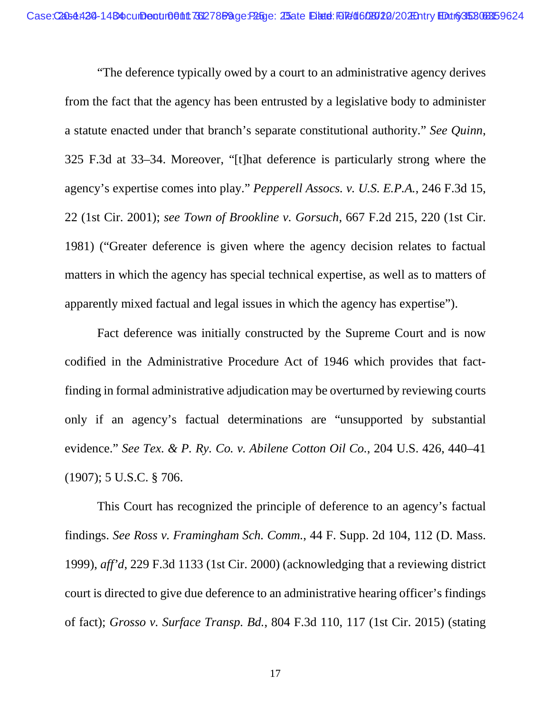"The deference typically owed by a court to an administrative agency derives from the fact that the agency has been entrusted by a legislative body to administer a statute enacted under that branch's separate constitutional authority." *See Quinn*, 325 F.3d at 33–34. Moreover, "[t]hat deference is particularly strong where the agency's expertise comes into play." *Pepperell Assocs. v. U.S. E.P.A.*, 246 F.3d 15, 22 (1st Cir. 2001); *see Town of Brookline v. Gorsuch*, 667 F.2d 215, 220 (1st Cir. 1981) ("Greater deference is given where the agency decision relates to factual matters in which the agency has special technical expertise, as well as to matters of apparently mixed factual and legal issues in which the agency has expertise").

Fact deference was initially constructed by the Supreme Court and is now codified in the Administrative Procedure Act of 1946 which provides that factfinding in formal administrative adjudication may be overturned by reviewing courts only if an agency's factual determinations are "unsupported by substantial evidence." *See Tex. & P. Ry. Co. v. Abilene Cotton Oil Co.*, 204 U.S. 426, 440–41 (1907); 5 U.S.C. § 706.

This Court has recognized the principle of deference to an agency's factual findings. *See Ross v. Framingham Sch. Comm.*, 44 F. Supp. 2d 104, 112 (D. Mass. 1999), *aff'd*, 229 F.3d 1133 (1st Cir. 2000) (acknowledging that a reviewing district court is directed to give due deference to an administrative hearing officer's findings of fact); *Grosso v. Surface Transp. Bd.*, 804 F.3d 110, 117 (1st Cir. 2015) (stating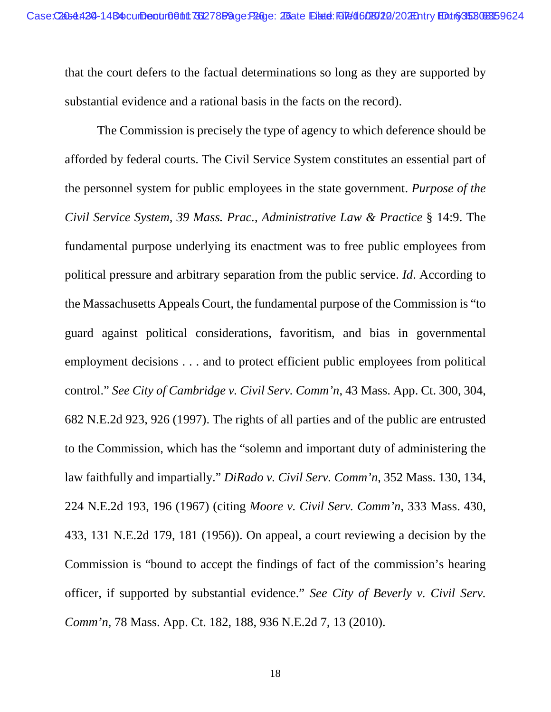that the court defers to the factual determinations so long as they are supported by substantial evidence and a rational basis in the facts on the record).

The Commission is precisely the type of agency to which deference should be afforded by federal courts. The Civil Service System constitutes an essential part of the personnel system for public employees in the state government. *Purpose of the Civil Service System, 39 Mass. Prac., Administrative Law & Practice* § 14:9. The fundamental purpose underlying its enactment was to free public employees from political pressure and arbitrary separation from the public service. *Id*. According to the Massachusetts Appeals Court, the fundamental purpose of the Commission is "to guard against political considerations, favoritism, and bias in governmental employment decisions . . . and to protect efficient public employees from political control." *See City of Cambridge v. Civil Serv. Comm'n*, 43 Mass. App. Ct. 300, 304, 682 N.E.2d 923, 926 (1997). The rights of all parties and of the public are entrusted to the Commission, which has the "solemn and important duty of administering the law faithfully and impartially." *DiRado v. Civil Serv. Comm'n*, 352 Mass. 130, 134, 224 N.E.2d 193, 196 (1967) (citing *Moore v. Civil Serv. Comm'n*, 333 Mass. 430, 433, 131 N.E.2d 179, 181 (1956)). On appeal, a court reviewing a decision by the Commission is "bound to accept the findings of fact of the commission's hearing officer, if supported by substantial evidence." *See City of Beverly v. Civil Serv. Comm'n*, 78 Mass. App. Ct. 182, 188, 936 N.E.2d 7, 13 (2010).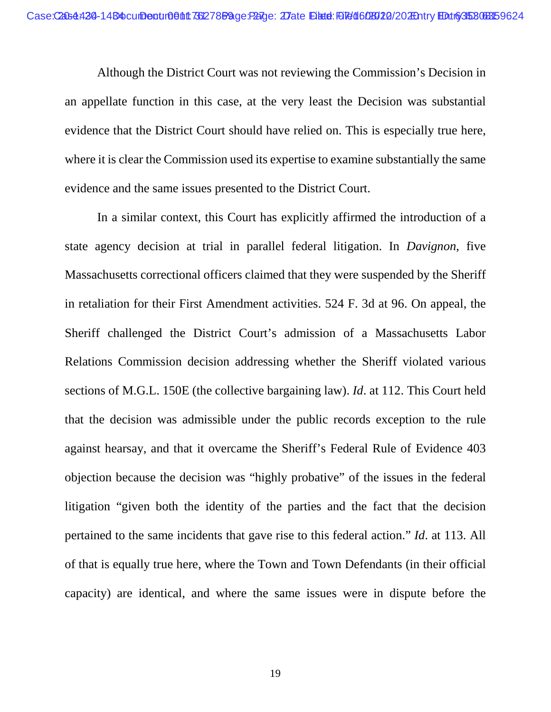Although the District Court was not reviewing the Commission's Decision in an appellate function in this case, at the very least the Decision was substantial evidence that the District Court should have relied on. This is especially true here, where it is clear the Commission used its expertise to examine substantially the same evidence and the same issues presented to the District Court.

In a similar context, this Court has explicitly affirmed the introduction of a state agency decision at trial in parallel federal litigation. In *Davignon*, five Massachusetts correctional officers claimed that they were suspended by the Sheriff in retaliation for their First Amendment activities. 524 F. 3d at 96. On appeal, the Sheriff challenged the District Court's admission of a Massachusetts Labor Relations Commission decision addressing whether the Sheriff violated various sections of M.G.L. 150E (the collective bargaining law). *Id*. at 112. This Court held that the decision was admissible under the public records exception to the rule against hearsay, and that it overcame the Sheriff's Federal Rule of Evidence 403 objection because the decision was "highly probative" of the issues in the federal litigation "given both the identity of the parties and the fact that the decision pertained to the same incidents that gave rise to this federal action." *Id*. at 113. All of that is equally true here, where the Town and Town Defendants (in their official capacity) are identical, and where the same issues were in dispute before the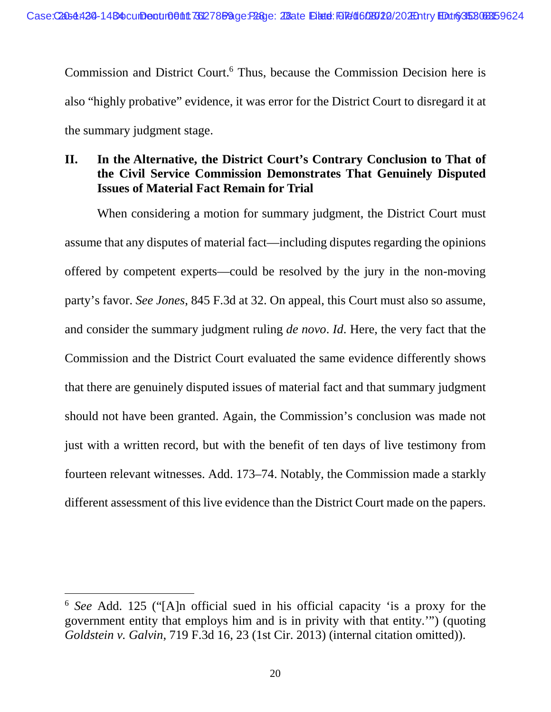Commission and District Court.<sup>6</sup> Thus, because the Commission Decision here is also "highly probative" evidence, it was error for the District Court to disregard it at the summary judgment stage.

## **II. In the Alternative, the District Court's Contrary Conclusion to That of the Civil Service Commission Demonstrates That Genuinely Disputed Issues of Material Fact Remain for Trial**

When considering a motion for summary judgment, the District Court must assume that any disputes of material fact—including disputes regarding the opinions offered by competent experts—could be resolved by the jury in the non-moving party's favor. *See Jones*, 845 F.3d at 32. On appeal, this Court must also so assume, and consider the summary judgment ruling *de novo*. *Id*. Here, the very fact that the Commission and the District Court evaluated the same evidence differently shows that there are genuinely disputed issues of material fact and that summary judgment should not have been granted. Again, the Commission's conclusion was made not just with a written record, but with the benefit of ten days of live testimony from fourteen relevant witnesses. Add. 173–74. Notably, the Commission made a starkly different assessment of this live evidence than the District Court made on the papers.

<sup>6</sup> *See* Add. 125 ("[A]n official sued in his official capacity 'is a proxy for the government entity that employs him and is in privity with that entity.'") (quoting *Goldstein v. Galvin*, 719 F.3d 16, 23 (1st Cir. 2013) (internal citation omitted)).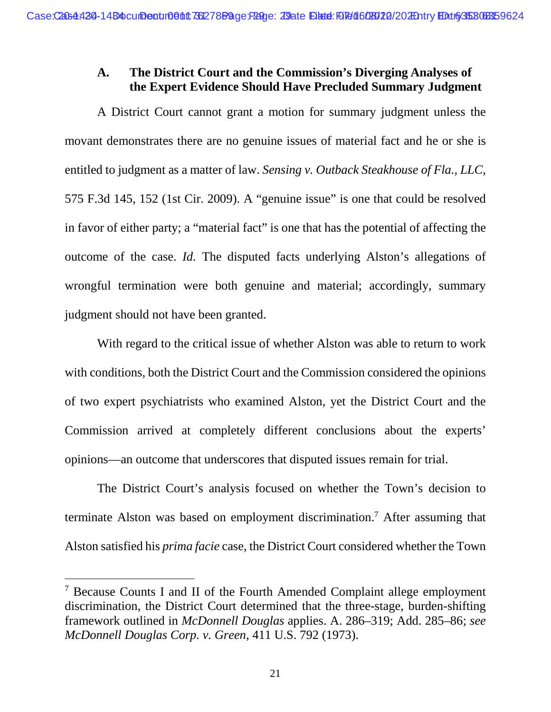## **A. The District Court and the Commission's Diverging Analyses of the Expert Evidence Should Have Precluded Summary Judgment**

A District Court cannot grant a motion for summary judgment unless the movant demonstrates there are no genuine issues of material fact and he or she is entitled to judgment as a matter of law. *Sensing v. Outback Steakhouse of Fla., LLC*, 575 F.3d 145, 152 (1st Cir. 2009). A "genuine issue" is one that could be resolved in favor of either party; a "material fact" is one that has the potential of affecting the outcome of the case. *Id.* The disputed facts underlying Alston's allegations of wrongful termination were both genuine and material; accordingly, summary judgment should not have been granted.

With regard to the critical issue of whether Alston was able to return to work with conditions, both the District Court and the Commission considered the opinions of two expert psychiatrists who examined Alston, yet the District Court and the Commission arrived at completely different conclusions about the experts' opinions—an outcome that underscores that disputed issues remain for trial.

The District Court's analysis focused on whether the Town's decision to terminate Alston was based on employment discrimination.<sup>7</sup> After assuming that Alston satisfied his *prima facie* case, the District Court considered whether the Town

<sup>&</sup>lt;sup>7</sup> Because Counts I and II of the Fourth Amended Complaint allege employment discrimination, the District Court determined that the three-stage, burden-shifting framework outlined in *McDonnell Douglas* applies. A. 286–319; Add. 285–86; *see McDonnell Douglas Corp. v. Green*, 411 U.S. 792 (1973).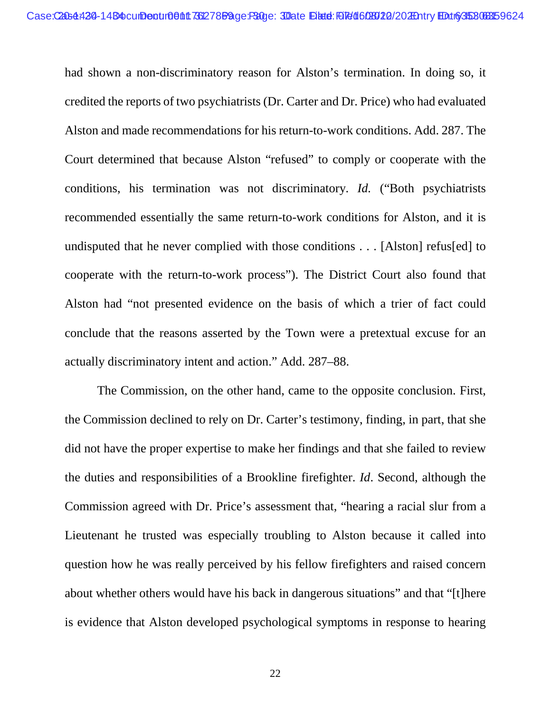had shown a non-discriminatory reason for Alston's termination. In doing so, it credited the reports of two psychiatrists (Dr. Carter and Dr. Price) who had evaluated Alston and made recommendations for his return-to-work conditions. Add. 287. The Court determined that because Alston "refused" to comply or cooperate with the conditions, his termination was not discriminatory. *Id.* ("Both psychiatrists recommended essentially the same return-to-work conditions for Alston, and it is undisputed that he never complied with those conditions . . . [Alston] refus[ed] to cooperate with the return-to-work process"). The District Court also found that Alston had "not presented evidence on the basis of which a trier of fact could conclude that the reasons asserted by the Town were a pretextual excuse for an actually discriminatory intent and action." Add. 287–88.

The Commission, on the other hand, came to the opposite conclusion. First, the Commission declined to rely on Dr. Carter's testimony, finding, in part, that she did not have the proper expertise to make her findings and that she failed to review the duties and responsibilities of a Brookline firefighter. *Id*. Second, although the Commission agreed with Dr. Price's assessment that, "hearing a racial slur from a Lieutenant he trusted was especially troubling to Alston because it called into question how he was really perceived by his fellow firefighters and raised concern about whether others would have his back in dangerous situations" and that "[t]here is evidence that Alston developed psychological symptoms in response to hearing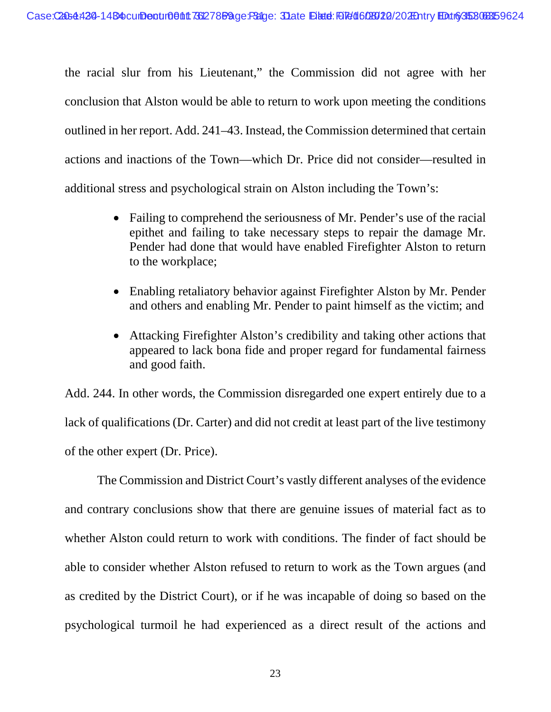the racial slur from his Lieutenant," the Commission did not agree with her conclusion that Alston would be able to return to work upon meeting the conditions outlined in her report. Add. 241–43. Instead, the Commission determined that certain actions and inactions of the Town—which Dr. Price did not consider—resulted in additional stress and psychological strain on Alston including the Town's:

- Failing to comprehend the seriousness of Mr. Pender's use of the racial epithet and failing to take necessary steps to repair the damage Mr. Pender had done that would have enabled Firefighter Alston to return to the workplace;
- Enabling retaliatory behavior against Firefighter Alston by Mr. Pender and others and enabling Mr. Pender to paint himself as the victim; and
- Attacking Firefighter Alston's credibility and taking other actions that appeared to lack bona fide and proper regard for fundamental fairness and good faith.

Add. 244. In other words, the Commission disregarded one expert entirely due to a lack of qualifications (Dr. Carter) and did not credit at least part of the live testimony of the other expert (Dr. Price).

The Commission and District Court's vastly different analyses of the evidence and contrary conclusions show that there are genuine issues of material fact as to whether Alston could return to work with conditions. The finder of fact should be able to consider whether Alston refused to return to work as the Town argues (and as credited by the District Court), or if he was incapable of doing so based on the psychological turmoil he had experienced as a direct result of the actions and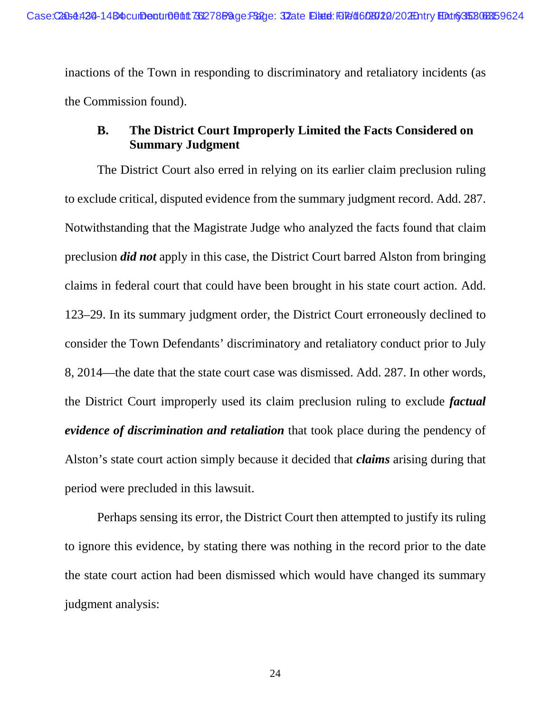inactions of the Town in responding to discriminatory and retaliatory incidents (as the Commission found).

## **B. The District Court Improperly Limited the Facts Considered on Summary Judgment**

The District Court also erred in relying on its earlier claim preclusion ruling to exclude critical, disputed evidence from the summary judgment record. Add. 287. Notwithstanding that the Magistrate Judge who analyzed the facts found that claim preclusion *did not* apply in this case, the District Court barred Alston from bringing claims in federal court that could have been brought in his state court action. Add. 123–29. In its summary judgment order, the District Court erroneously declined to consider the Town Defendants' discriminatory and retaliatory conduct prior to July 8, 2014—the date that the state court case was dismissed. Add. 287. In other words, the District Court improperly used its claim preclusion ruling to exclude *factual evidence of discrimination and retaliation* that took place during the pendency of Alston's state court action simply because it decided that *claims* arising during that period were precluded in this lawsuit.

Perhaps sensing its error, the District Court then attempted to justify its ruling to ignore this evidence, by stating there was nothing in the record prior to the date the state court action had been dismissed which would have changed its summary judgment analysis: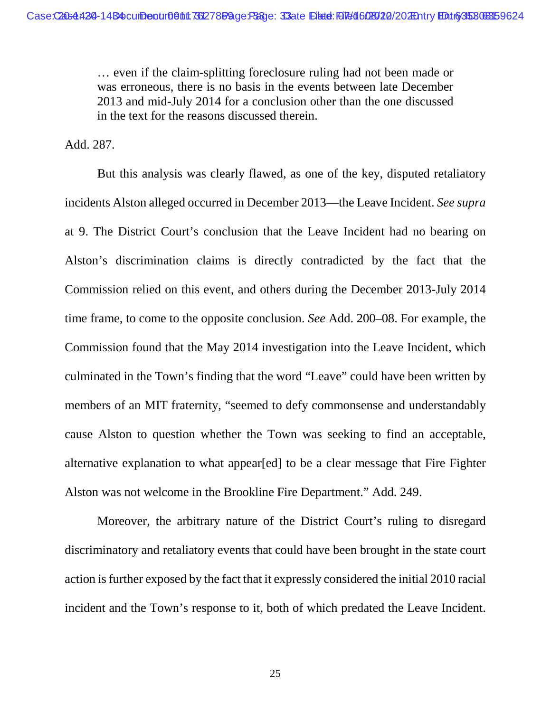… even if the claim-splitting foreclosure ruling had not been made or was erroneous, there is no basis in the events between late December 2013 and mid-July 2014 for a conclusion other than the one discussed in the text for the reasons discussed therein.

Add. 287.

But this analysis was clearly flawed, as one of the key, disputed retaliatory incidents Alston alleged occurred in December 2013—the Leave Incident. *See supra* at 9. The District Court's conclusion that the Leave Incident had no bearing on Alston's discrimination claims is directly contradicted by the fact that the Commission relied on this event, and others during the December 2013-July 2014 time frame, to come to the opposite conclusion. *See* Add. 200–08. For example, the Commission found that the May 2014 investigation into the Leave Incident, which culminated in the Town's finding that the word "Leave" could have been written by members of an MIT fraternity, "seemed to defy commonsense and understandably cause Alston to question whether the Town was seeking to find an acceptable, alternative explanation to what appear[ed] to be a clear message that Fire Fighter Alston was not welcome in the Brookline Fire Department." Add. 249.

Moreover, the arbitrary nature of the District Court's ruling to disregard discriminatory and retaliatory events that could have been brought in the state court action is further exposed by the fact that it expressly considered the initial 2010 racial incident and the Town's response to it, both of which predated the Leave Incident.

25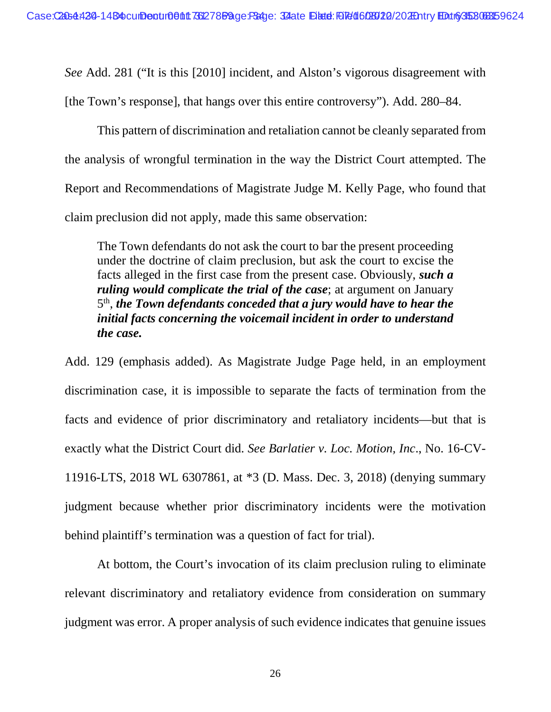*See* Add. 281 ("It is this [2010] incident, and Alston's vigorous disagreement with

[the Town's response], that hangs over this entire controversy"). Add. 280–84.

This pattern of discrimination and retaliation cannot be cleanly separated from the analysis of wrongful termination in the way the District Court attempted. The Report and Recommendations of Magistrate Judge M. Kelly Page, who found that claim preclusion did not apply, made this same observation:

The Town defendants do not ask the court to bar the present proceeding under the doctrine of claim preclusion, but ask the court to excise the facts alleged in the first case from the present case. Obviously, *such a ruling would complicate the trial of the case*; at argument on January 5 th , *the Town defendants conceded that a jury would have to hear the initial facts concerning the voicemail incident in order to understand the case.*

Add. 129 (emphasis added). As Magistrate Judge Page held, in an employment discrimination case, it is impossible to separate the facts of termination from the facts and evidence of prior discriminatory and retaliatory incidents—but that is exactly what the District Court did. *See Barlatier v. Loc. Motion, Inc*., No. 16-CV-11916-LTS, 2018 WL 6307861, at \*3 (D. Mass. Dec. 3, 2018) (denying summary judgment because whether prior discriminatory incidents were the motivation behind plaintiff's termination was a question of fact for trial).

At bottom, the Court's invocation of its claim preclusion ruling to eliminate relevant discriminatory and retaliatory evidence from consideration on summary judgment was error. A proper analysis of such evidence indicates that genuine issues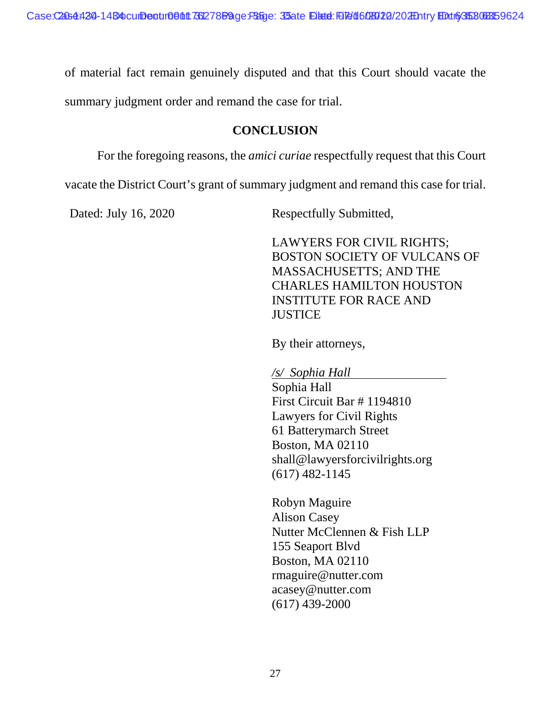of material fact remain genuinely disputed and that this Court should vacate the

summary judgment order and remand the case for trial.

## **CONCLUSION**

For the foregoing reasons, the *amici curiae* respectfully request that this Court

vacate the District Court's grant of summary judgment and remand this case for trial.

Dated: July 16, 2020 Respectfully Submitted,

LAWYERS FOR CIVIL RIGHTS; BOSTON SOCIETY OF VULCANS OF MASSACHUSETTS; AND THE CHARLES HAMILTON HOUSTON INSTITUTE FOR RACE AND **JUSTICE** 

By their attorneys,

*/s/ Sophia Hall* 

Sophia Hall First Circuit Bar # 1194810 Lawyers for Civil Rights 61 Batterymarch Street Boston, MA 02110 shall@lawyersforcivilrights.org (617) 482-1145

Robyn Maguire Alison Casey Nutter McClennen & Fish LLP 155 Seaport Blvd Boston, MA 02110 rmaguire@nutter.com acasey@nutter.com (617) 439-2000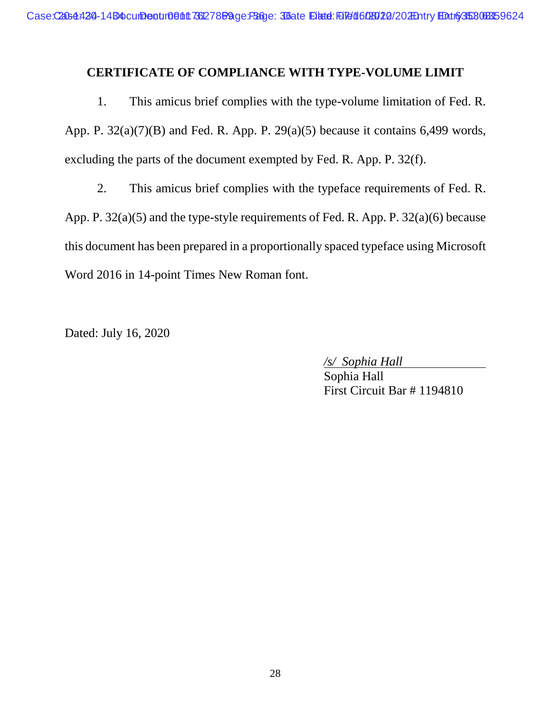## **CERTIFICATE OF COMPLIANCE WITH TYPE-VOLUME LIMIT**

1. This amicus brief complies with the type-volume limitation of Fed. R. App. P.  $32(a)(7)(B)$  and Fed. R. App. P.  $29(a)(5)$  because it contains 6,499 words, excluding the parts of the document exempted by Fed. R. App. P. 32(f).

2. This amicus brief complies with the typeface requirements of Fed. R. App. P. 32(a)(5) and the type-style requirements of Fed. R. App. P. 32(a)(6) because this document has been prepared in a proportionally spaced typeface using Microsoft Word 2016 in 14-point Times New Roman font.

Dated: July 16, 2020

*/s/ Sophia Hall* 

Sophia Hall First Circuit Bar # 1194810